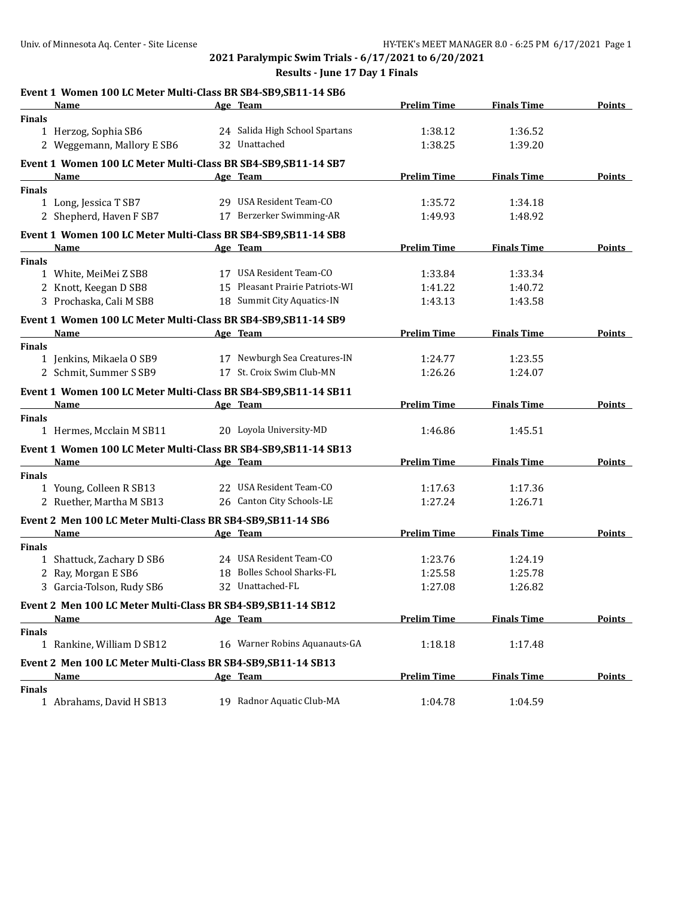## Univ. of Minnesota Aq. Center - Site License Hyrano HY-TEK's MEET MANAGER 8.0 - 6:25 PM 6/17/2021 Page 1 **2021 Paralympic Swim Trials - 6/17/2021 to 6/20/2021 Results - June 17 Day 1 Finals Event 1 Women 100 LC Meter Multi-Class BR SB4-SB9,SB11-14 SB6 Name Age Team Prelim Time Finals Time Points Finals** 1 Herzog, Sophia SB6 24 Salida High School Spartans 1:38.12 1:36.52 2 Weggemann, Mallory E SB6 32 Unattached 1:38.25 1:39.20 **Event 1 Women 100 LC Meter Multi-Class BR SB4-SB9,SB11-14 SB7 Name Age Team Prelim Time Finals Time Points Finals** 1 Long, Jessica T SB7 29 USA Resident Team-CO 1:35.72 1:34.18 2 Shepherd, Haven F SB7 17 Berzerker Swimming-AR 1:49.93 1:48.92 **Event 1 Women 100 LC Meter Multi-Class BR SB4-SB9,SB11-14 SB8 Name Age Team Prelim Time Finals Time Points Finals** 1 White, MeiMei Z SB8 17 USA Resident Team-CO 1:33.84 1:33.34 2 Knott, Keegan D SB8 15 Pleasant Prairie Patriots-WI 1:41.22 1:40.72 3 Prochaska, Cali M SB8 18 Summit City Aquatics-IN 1:43.13 1:43.58 **Event 1 Women 100 LC Meter Multi-Class BR SB4-SB9,SB11-14 SB9 Name Age Team Prelim Time Finals Time Points Finals** 1 Jenkins, Mikaela O SB9 17 Newburgh Sea Creatures-IN 1:24.77 1:23.55 2 Schmit, Summer S SB9 17 St. Croix Swim Club-MN 1:26.26 1:24.07 **Event 1 Women 100 LC Meter Multi-Class BR SB4-SB9,SB11-14 SB11 Name Age Team Prelim Time Finals Time Points Finals** 1 Hermes, Mcclain M SB11 20 Loyola University-MD 1:46.86 1:45.51 **Event 1 Women 100 LC Meter Multi-Class BR SB4-SB9,SB11-14 SB13 Name Age Team Prelim Time Finals Time Points Finals** 1 Young, Colleen R SB13 22 USA Resident Team-CO 1:17.63 1:17.36 2 Ruether, Martha M SB13 26 Canton City Schools-LE 1:27.24 1:26.71 **Event 2 Men 100 LC Meter Multi-Class BR SB4-SB9,SB11-14 SB6 Name Age Team Prelim Time Finals Time Points Finals** 1 Shattuck, Zachary D SB6 24 USA Resident Team-CO 1:23.76 1:24.19 2 Ray, Morgan E SB6 18 18 Bolles School Sharks-FL 1:25.58 1:25.78 3 Garcia-Tolson, Rudy SB6 32 Unattached-FL 1:27.08 1:26.82 **Event 2 Men 100 LC Meter Multi-Class BR SB4-SB9,SB11-14 SB12 Name Age Team Prelim Time Finals Time Points Finals** 1 Rankine, William D SB12 16 Warner Robins Aquanauts-GA 1:18.18 1:17.48 **Event 2 Men 100 LC Meter Multi-Class BR SB4-SB9,SB11-14 SB13 Name Age Team Prelim Time Finals Time Points Finals**

1 Abrahams, David H SB13 19 Radnor Aquatic Club-MA 1:04.78 1:04.59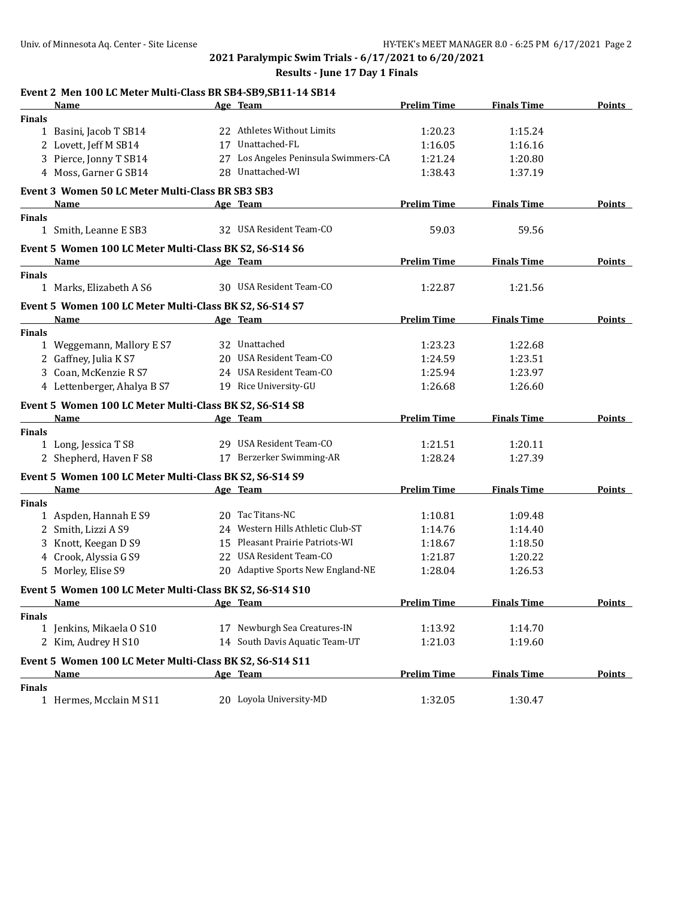**2021 Paralympic Swim Trials - 6/17/2021 to 6/20/2021**

## **Results - June 17 Day 1 Finals**

|               | Event 2 Men 100 LC Meter Multi-Class BR SB4-SB9, SB11-14 SB14 |                                      |                    |                    |               |
|---------------|---------------------------------------------------------------|--------------------------------------|--------------------|--------------------|---------------|
|               | Name                                                          | Age Team                             | <b>Prelim Time</b> | <b>Finals Time</b> | Points        |
| <b>Finals</b> |                                                               |                                      |                    |                    |               |
|               | 1 Basini, Jacob T SB14                                        | 22 Athletes Without Limits           | 1:20.23            | 1:15.24            |               |
|               | 2 Lovett, Jeff M SB14                                         | 17 Unattached-FL                     | 1:16.05            | 1:16.16            |               |
|               | 3 Pierce, Jonny T SB14                                        | 27 Los Angeles Peninsula Swimmers-CA | 1:21.24            | 1:20.80            |               |
|               | 4 Moss, Garner G SB14                                         | 28 Unattached-WI                     | 1:38.43            | 1:37.19            |               |
|               | Event 3 Women 50 LC Meter Multi-Class BR SB3 SB3              |                                      |                    |                    |               |
|               | Name                                                          | Age Team                             | <b>Prelim Time</b> | <b>Finals Time</b> | Points        |
| <b>Finals</b> |                                                               | 32 USA Resident Team-CO              |                    |                    |               |
|               | 1 Smith, Leanne E SB3                                         |                                      | 59.03              | 59.56              |               |
|               | Event 5 Women 100 LC Meter Multi-Class BK S2, S6-S14 S6       |                                      |                    |                    |               |
|               | Name                                                          | Age Team                             | <b>Prelim Time</b> | <b>Finals Time</b> | <b>Points</b> |
| <b>Finals</b> |                                                               |                                      |                    |                    |               |
|               | 1 Marks, Elizabeth A S6                                       | 30 USA Resident Team-CO              | 1:22.87            | 1:21.56            |               |
|               | Event 5 Women 100 LC Meter Multi-Class BK S2, S6-S14 S7       |                                      |                    |                    |               |
|               | Name                                                          | Age Team                             | <b>Prelim Time</b> | <b>Finals Time</b> | Points        |
| <b>Finals</b> |                                                               |                                      |                    |                    |               |
|               | 1 Weggemann, Mallory E S7                                     | 32 Unattached                        | 1:23.23            | 1:22.68            |               |
|               | 2 Gaffney, Julia K S7                                         | 20 USA Resident Team-CO              | 1:24.59            | 1:23.51            |               |
|               | 3 Coan, McKenzie R S7                                         | 24 USA Resident Team-CO              | 1:25.94            | 1:23.97            |               |
|               | 4 Lettenberger, Ahalya B S7                                   | 19 Rice University-GU                | 1:26.68            | 1:26.60            |               |
|               | Event 5 Women 100 LC Meter Multi-Class BK S2, S6-S14 S8       |                                      |                    |                    |               |
|               | Name                                                          | Age Team                             | <b>Prelim Time</b> | <b>Finals Time</b> | <b>Points</b> |
| <b>Finals</b> |                                                               |                                      |                    |                    |               |
|               | 1 Long, Jessica T S8                                          | 29 USA Resident Team-CO              | 1:21.51            | 1:20.11            |               |
|               | 2 Shepherd, Haven F S8                                        | 17 Berzerker Swimming-AR             | 1:28.24            | 1:27.39            |               |
|               | Event 5 Women 100 LC Meter Multi-Class BK S2, S6-S14 S9       |                                      |                    |                    |               |
|               | <b>Name</b>                                                   | Age Team                             | <b>Prelim Time</b> | <b>Finals Time</b> | <b>Points</b> |
| <b>Finals</b> |                                                               |                                      |                    |                    |               |
|               | 1 Aspden, Hannah E S9                                         | 20 Tac Titans-NC                     | 1:10.81            | 1:09.48            |               |
|               | 2 Smith, Lizzi A S9                                           | 24 Western Hills Athletic Club-ST    | 1:14.76            | 1:14.40            |               |
|               | 3 Knott, Keegan D S9                                          | 15 Pleasant Prairie Patriots-WI      | 1:18.67            | 1:18.50            |               |
|               | 4 Crook, Alyssia G S9                                         | 22 USA Resident Team-CO              | 1:21.87            | 1:20.22            |               |
|               | 5 Morley, Elise S9                                            | 20 Adaptive Sports New England-NE    | 1:28.04            | 1:26.53            |               |
|               | Event 5 Women 100 LC Meter Multi-Class BK S2, S6-S14 S10      |                                      |                    |                    |               |
|               | <u>Name</u>                                                   | Age Team                             | <b>Prelim Time</b> | <b>Finals Time</b> | <b>Points</b> |
| <b>Finals</b> |                                                               |                                      |                    |                    |               |
|               | 1 Jenkins, Mikaela O S10                                      | 17 Newburgh Sea Creatures-IN         | 1:13.92            | 1:14.70            |               |
|               | 2 Kim, Audrey H S10                                           | 14 South Davis Aquatic Team-UT       | 1:21.03            | 1:19.60            |               |
|               | Event 5 Women 100 LC Meter Multi-Class BK S2, S6-S14 S11      |                                      |                    |                    |               |
|               | <b>Name</b>                                                   | Age Team                             | <b>Prelim Time</b> | <b>Finals Time</b> | <b>Points</b> |
| <b>Finals</b> |                                                               |                                      |                    |                    |               |
|               | 1 Hermes, Mcclain M S11                                       | 20 Lovola University-MD              | 1:32.05            | 1:30.47            |               |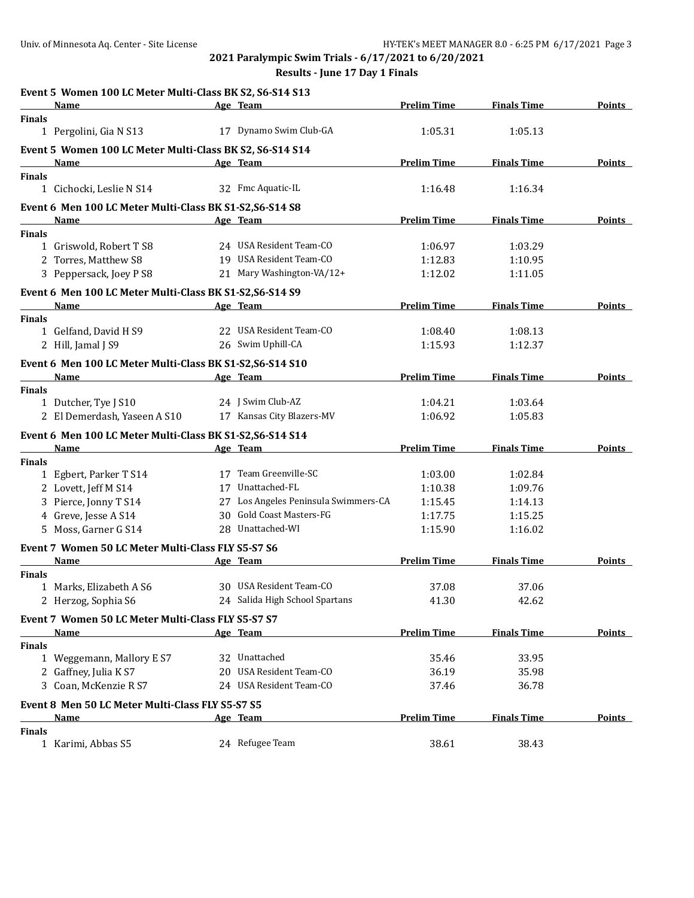**2021 Paralympic Swim Trials - 6/17/2021 to 6/20/2021**

**Results - June 17 Day 1 Finals**

|               | Event 5 Women 100 LC Meter Multi-Class BK S2, S6-S14 S13                                                                                                                                                                                               |                                      |                    |                    |               |
|---------------|--------------------------------------------------------------------------------------------------------------------------------------------------------------------------------------------------------------------------------------------------------|--------------------------------------|--------------------|--------------------|---------------|
|               | Name                                                                                                                                                                                                                                                   | Age Team                             | <b>Prelim Time</b> | <b>Finals Time</b> | Points        |
| <b>Finals</b> |                                                                                                                                                                                                                                                        |                                      |                    |                    |               |
|               | 1 Pergolini, Gia N S13                                                                                                                                                                                                                                 | 17 Dynamo Swim Club-GA               | 1:05.31            | 1:05.13            |               |
|               | Event 5 Women 100 LC Meter Multi-Class BK S2, S6-S14 S14                                                                                                                                                                                               |                                      |                    |                    |               |
|               | <b>Name</b>                                                                                                                                                                                                                                            | Age Team                             | <b>Prelim Time</b> | <b>Finals Time</b> | <b>Points</b> |
| Finals        |                                                                                                                                                                                                                                                        |                                      |                    |                    |               |
|               | 1 Cichocki, Leslie N S14                                                                                                                                                                                                                               | 32 Fmc Aquatic-IL                    | 1:16.48            | 1:16.34            |               |
|               | Event 6 Men 100 LC Meter Multi-Class BK S1-S2, S6-S14 S8                                                                                                                                                                                               |                                      |                    |                    |               |
|               | $\mathcal{L}^{\mathcal{L}}(\mathcal{L}^{\mathcal{L}})$ and $\mathcal{L}^{\mathcal{L}}(\mathcal{L}^{\mathcal{L}})$ and $\mathcal{L}^{\mathcal{L}}(\mathcal{L}^{\mathcal{L}})$ and $\mathcal{L}^{\mathcal{L}}(\mathcal{L}^{\mathcal{L}})$<br><b>Name</b> | Age Team                             | <b>Prelim Time</b> | <b>Finals Time</b> | Points        |
| Finals        |                                                                                                                                                                                                                                                        |                                      |                    |                    |               |
|               | 1 Griswold, Robert T S8                                                                                                                                                                                                                                | 24 USA Resident Team-CO              | 1:06.97            | 1:03.29            |               |
|               | 2 Torres, Matthew S8                                                                                                                                                                                                                                   | 19 USA Resident Team-CO              | 1:12.83            | 1:10.95            |               |
|               | 3 Peppersack, Joey P S8                                                                                                                                                                                                                                | 21 Mary Washington-VA/12+            | 1:12.02            | 1:11.05            |               |
|               | Event 6 Men 100 LC Meter Multi-Class BK S1-S2, S6-S14 S9                                                                                                                                                                                               |                                      |                    |                    |               |
|               | <b>Name</b>                                                                                                                                                                                                                                            | Age Team                             | <b>Prelim Time</b> | <b>Finals Time</b> | <b>Points</b> |
| <b>Finals</b> |                                                                                                                                                                                                                                                        |                                      |                    |                    |               |
|               | 1 Gelfand, David H S9                                                                                                                                                                                                                                  | 22 USA Resident Team-CO              | 1:08.40            | 1:08.13            |               |
|               | 2 Hill, Jamal J S9                                                                                                                                                                                                                                     | 26 Swim Uphill-CA                    | 1:15.93            | 1:12.37            |               |
|               | Event 6 Men 100 LC Meter Multi-Class BK S1-S2, S6-S14 S10                                                                                                                                                                                              |                                      |                    |                    |               |
|               | Name                                                                                                                                                                                                                                                   | Age Team                             | <b>Prelim Time</b> | <b>Finals Time</b> | Points        |
| <b>Finals</b> |                                                                                                                                                                                                                                                        |                                      |                    |                    |               |
|               | 1 Dutcher, Tye J S10                                                                                                                                                                                                                                   | 24 J Swim Club-AZ                    | 1:04.21            | 1:03.64            |               |
|               | 2 El Demerdash, Yaseen A S10                                                                                                                                                                                                                           | 17 Kansas City Blazers-MV            | 1:06.92            | 1:05.83            |               |
|               |                                                                                                                                                                                                                                                        |                                      |                    |                    |               |
|               | Event 6 Men 100 LC Meter Multi-Class BK S1-S2, S6-S14 S14                                                                                                                                                                                              |                                      |                    |                    |               |
|               | Name                                                                                                                                                                                                                                                   | Age Team                             | <b>Prelim Time</b> | <b>Finals Time</b> | Points        |
| <b>Finals</b> | 1 Egbert, Parker T S14                                                                                                                                                                                                                                 | 17 Team Greenville-SC                | 1:03.00            | 1:02.84            |               |
|               | 2 Lovett, Jeff M S14                                                                                                                                                                                                                                   | 17 Unattached-FL                     | 1:10.38            | 1:09.76            |               |
|               | 3 Pierce, Jonny T S14                                                                                                                                                                                                                                  | 27 Los Angeles Peninsula Swimmers-CA | 1:15.45            | 1:14.13            |               |
|               | 4 Greve, Jesse A S14                                                                                                                                                                                                                                   | 30 Gold Coast Masters-FG             | 1:17.75            | 1:15.25            |               |
|               | 5 Moss, Garner G S14                                                                                                                                                                                                                                   | 28 Unattached-WI                     | 1:15.90            | 1:16.02            |               |
|               |                                                                                                                                                                                                                                                        |                                      |                    |                    |               |
|               | Event 7 Women 50 LC Meter Multi-Class FLY S5-S7 S6                                                                                                                                                                                                     |                                      |                    |                    |               |
|               | <b>Name</b>                                                                                                                                                                                                                                            | Age Team                             | <b>Prelim Time</b> | <b>Finals Time</b> | <b>Points</b> |
| <b>Finals</b> |                                                                                                                                                                                                                                                        |                                      |                    |                    |               |
|               | 1 Marks, Elizabeth A S6                                                                                                                                                                                                                                | 30 USA Resident Team-CO              | 37.08              | 37.06              |               |
|               | 2 Herzog, Sophia S6                                                                                                                                                                                                                                    | 24 Salida High School Spartans       | 41.30              | 42.62              |               |
|               | Event 7 Women 50 LC Meter Multi-Class FLY S5-S7 S7                                                                                                                                                                                                     |                                      |                    |                    |               |
|               | <u>Name</u>                                                                                                                                                                                                                                            | Age Team                             | <b>Prelim Time</b> | <b>Finals Time</b> | <b>Points</b> |
| <b>Finals</b> |                                                                                                                                                                                                                                                        |                                      |                    |                    |               |
|               | 1 Weggemann, Mallory E S7                                                                                                                                                                                                                              | 32 Unattached                        | 35.46              | 33.95              |               |
|               | 2 Gaffney, Julia K S7                                                                                                                                                                                                                                  | 20 USA Resident Team-CO              | 36.19              | 35.98              |               |
|               | 3 Coan, McKenzie R S7                                                                                                                                                                                                                                  | 24 USA Resident Team-CO              | 37.46              | 36.78              |               |
|               | Event 8 Men 50 LC Meter Multi-Class FLY S5-S7 S5                                                                                                                                                                                                       |                                      |                    |                    |               |
|               | Name                                                                                                                                                                                                                                                   | Age Team                             | <b>Prelim Time</b> | <b>Finals Time</b> | <b>Points</b> |
| <b>Finals</b> |                                                                                                                                                                                                                                                        |                                      |                    |                    |               |
|               | 1 Karimi, Abbas S5                                                                                                                                                                                                                                     | 24 Refugee Team                      | 38.61              | 38.43              |               |